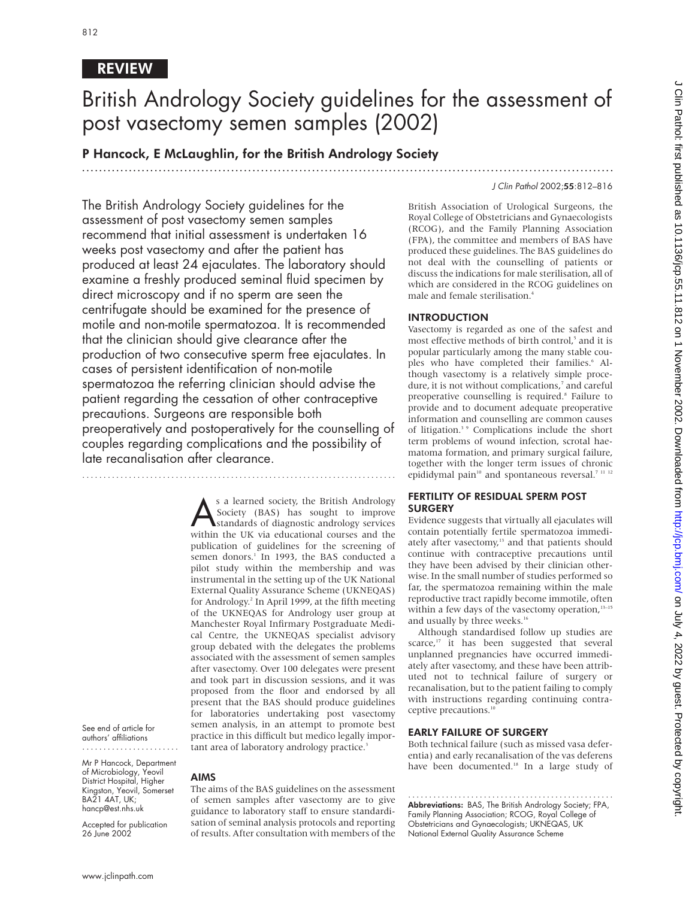# REVIEW

# British Andrology Society guidelines for the assessment of post vasectomy semen samples (2002)

.............................................................................................................................

P Hancock, E McLaughlin, for the British Andrology Society

# J Clin Pathol 2002;55:812–816

The British Andrology Society guidelines for the assessment of post vasectomy semen samples recommend that initial assessment is undertaken 16 weeks post vasectomy and after the patient has produced at least 24 ejaculates. The laboratory should examine a freshly produced seminal fluid specimen by direct microscopy and if no sperm are seen the centrifugate should be examined for the presence of motile and non-motile spermatozoa. It is recommended that the clinician should give clearance after the production of two consecutive sperm free ejaculates. In cases of persistent identification of non-motile spermatozoa the referring clinician should advise the patient regarding the cessation of other contraceptive precautions. Surgeons are responsible both preoperatively and postoperatively for the counselling of couples regarding complications and the possibility of late recanalisation after clearance.

..........................................................................

s a learned society, the British Andrology<br>Society (BAS) has sought to improve<br>standards of diagnostic andrology services<br>within the UK via educational courses and the Society (BAS) has sought to improve within the UK via educational courses and the publication of guidelines for the screening of semen donors.<sup>1</sup> In 1993, the BAS conducted a pilot study within the membership and was instrumental in the setting up of the UK National External Quality Assurance Scheme (UKNEQAS) for Andrology.<sup>2</sup> In April 1999, at the fifth meeting of the UKNEQAS for Andrology user group at Manchester Royal Infirmary Postgraduate Medical Centre, the UKNEQAS specialist advisory group debated with the delegates the problems associated with the assessment of semen samples after vasectomy. Over 100 delegates were present and took part in discussion sessions, and it was proposed from the floor and endorsed by all present that the BAS should produce guidelines for laboratories undertaking post vasectomy semen analysis, in an attempt to promote best practice in this difficult but medico legally important area of laboratory andrology practice.<sup>3</sup>

See end of article for authors' affiliations .......................

Mr P Hancock, Department of Microbiology, Yeovil District Hospital, Higher Kingston, Yeovil, Somerset BA21 4AT, UK; hancp@est.nhs.uk

Accepted for publication 26 June 2002

# AIMS

The aims of the BAS guidelines on the assessment of semen samples after vasectomy are to give guidance to laboratory staff to ensure standardisation of seminal analysis protocols and reporting of results. After consultation with members of the British Association of Urological Surgeons, the Royal College of Obstetricians and Gynaecologists (RCOG), and the Family Planning Association (FPA), the committee and members of BAS have produced these guidelines. The BAS guidelines do not deal with the counselling of patients or discuss the indications for male sterilisation, all of which are considered in the RCOG guidelines on male and female sterilisation.4

# INTRODUCTION

Vasectomy is regarded as one of the safest and most effective methods of birth control,<sup>5</sup> and it is popular particularly among the many stable couples who have completed their families.<sup>6</sup> Although vasectomy is a relatively simple procedure, it is not without complications,<sup>7</sup> and careful preoperative counselling is required.<sup>8</sup> Failure to provide and to document adequate preoperative information and counselling are common causes of litigation.<sup>3</sup> <sup>9</sup> Complications include the short term problems of wound infection, scrotal haematoma formation, and primary surgical failure, together with the longer term issues of chronic epididymal pain<sup>10</sup> and spontaneous reversal.<sup>7 11 12</sup>

# FERTILITY OF RESIDUAL SPERM POST **SURGERY**

Evidence suggests that virtually all ejaculates will contain potentially fertile spermatozoa immediately after vasectomy,<sup>13</sup> and that patients should continue with contraceptive precautions until they have been advised by their clinician otherwise. In the small number of studies performed so far, the spermatozoa remaining within the male reproductive tract rapidly become immotile, often within a few days of the vasectomy operation,<sup>13-15</sup> and usually by three weeks.<sup>16</sup>

Although standardised follow up studies are scarce,<sup>17</sup> it has been suggested that several unplanned pregnancies have occurred immediately after vasectomy, and these have been attributed not to technical failure of surgery or recanalisation, but to the patient failing to comply with instructions regarding continuing contraceptive precautions.<sup>10</sup>

# EARLY FAILURE OF SURGERY

Both technical failure (such as missed vasa deferentia) and early recanalisation of the vas deferens have been documented.<sup>18</sup> In a large study of

................................................. Abbreviations: BAS, The British Andrology Society; FPA, Family Planning Association; RCOG, Royal College of Obstetricians and Gynaecologists; UKNEQAS, UK National External Quality Assurance Scheme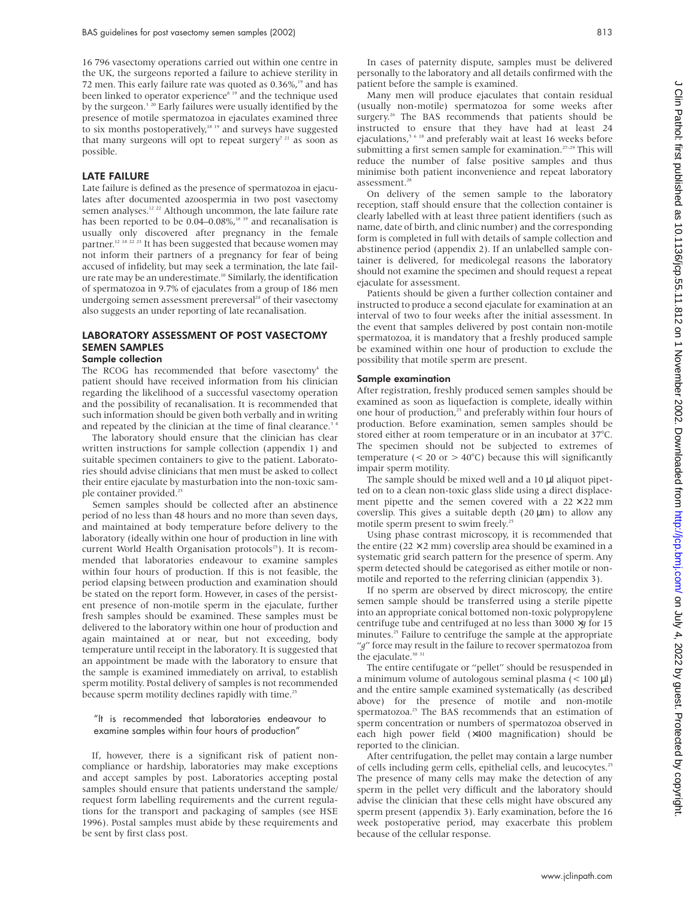16 796 vasectomy operations carried out within one centre in the UK, the surgeons reported a failure to achieve sterility in 72 men. This early failure rate was quoted as 0.36%,<sup>19</sup> and has been linked to operator experience<sup>8 19</sup> and the technique used by the surgeon.<sup>3 20</sup> Early failures were usually identified by the presence of motile spermatozoa in ejaculates examined three to six months postoperatively,<sup>18 19</sup> and surveys have suggested that many surgeons will opt to repeat surgery<sup>7 21</sup> as soon as possible.

#### LATE FAILURE

Late failure is defined as the presence of spermatozoa in ejaculates after documented azoospermia in two post vasectomy semen analyses.<sup>12 22</sup> Although uncommon, the late failure rate has been reported to be  $0.04-0.08\%$ ,<sup>18 19</sup> and recanalisation is usually only discovered after pregnancy in the female partner.<sup>12 18 22 23</sup> It has been suggested that because women may not inform their partners of a pregnancy for fear of being accused of infidelity, but may seek a termination, the late failure rate may be an underestimate.<sup>10</sup> Similarly, the identification of spermatozoa in 9.7% of ejaculates from a group of 186 men undergoing semen assessment prereversal<sup>24</sup> of their vasectomy also suggests an under reporting of late recanalisation.

# LABORATORY ASSESSMENT OF POST VASECTOMY SEMEN SAMPLES

# Sample collection

The RCOG has recommended that before vasectomy<sup>4</sup> the patient should have received information from his clinician regarding the likelihood of a successful vasectomy operation and the possibility of recanalisation. It is recommended that such information should be given both verbally and in writing and repeated by the clinician at the time of final clearance.<sup>34</sup>

The laboratory should ensure that the clinician has clear written instructions for sample collection (appendix 1) and suitable specimen containers to give to the patient. Laboratories should advise clinicians that men must be asked to collect their entire ejaculate by masturbation into the non-toxic sample container provided.<sup>25</sup>

Semen samples should be collected after an abstinence period of no less than 48 hours and no more than seven days, and maintained at body temperature before delivery to the laboratory (ideally within one hour of production in line with current World Health Organisation protocols<sup>25</sup>). It is recommended that laboratories endeavour to examine samples within four hours of production. If this is not feasible, the period elapsing between production and examination should be stated on the report form. However, in cases of the persistent presence of non-motile sperm in the ejaculate, further fresh samples should be examined. These samples must be delivered to the laboratory within one hour of production and again maintained at or near, but not exceeding, body temperature until receipt in the laboratory. It is suggested that an appointment be made with the laboratory to ensure that the sample is examined immediately on arrival, to establish sperm motility. Postal delivery of samples is not recommended because sperm motility declines rapidly with time.<sup>25</sup>

#### "It is recommended that laboratories endeavour to examine samples within four hours of production"

If, however, there is a significant risk of patient noncompliance or hardship, laboratories may make exceptions and accept samples by post. Laboratories accepting postal samples should ensure that patients understand the sample/ request form labelling requirements and the current regulations for the transport and packaging of samples (see HSE 1996). Postal samples must abide by these requirements and be sent by first class post.

In cases of paternity dispute, samples must be delivered personally to the laboratory and all details confirmed with the patient before the sample is examined.

Many men will produce ejaculates that contain residual (usually non-motile) spermatozoa for some weeks after surgery.<sup>26</sup> The BAS recommends that patients should be instructed to ensure that they have had at least 24 ejaculations,<sup>5 6 18</sup> and preferably wait at least 16 weeks before submitting a first semen sample for examination.<sup>27-29</sup> This will reduce the number of false positive samples and thus minimise both patient inconvenience and repeat laboratory assessment.<sup>28</sup>

On delivery of the semen sample to the laboratory reception, staff should ensure that the collection container is clearly labelled with at least three patient identifiers (such as name, date of birth, and clinic number) and the corresponding form is completed in full with details of sample collection and abstinence period (appendix 2). If an unlabelled sample container is delivered, for medicolegal reasons the laboratory should not examine the specimen and should request a repeat ejaculate for assessment.

Patients should be given a further collection container and instructed to produce a second ejaculate for examination at an interval of two to four weeks after the initial assessment. In the event that samples delivered by post contain non-motile spermatozoa, it is mandatory that a freshly produced sample be examined within one hour of production to exclude the possibility that motile sperm are present.

#### Sample examination

After registration, freshly produced semen samples should be examined as soon as liquefaction is complete, ideally within one hour of production,<sup>25</sup> and preferably within four hours of production. Before examination, semen samples should be stored either at room temperature or in an incubator at 37°C. The specimen should not be subjected to extremes of temperature ( $< 20$  or  $> 40^{\circ}$ C) because this will significantly impair sperm motility.

The sample should be mixed well and a 10 µl aliquot pipetted on to a clean non-toxic glass slide using a direct displacement pipette and the semen covered with a  $22 \times 22$  mm coverslip. This gives a suitable depth  $(20 \mu m)$  to allow any motile sperm present to swim freely.<sup>25</sup>

Using phase contrast microscopy, it is recommended that the entire ( $22 \times 2$  mm) coverslip area should be examined in a systematic grid search pattern for the presence of sperm. Any sperm detected should be categorised as either motile or nonmotile and reported to the referring clinician (appendix 3).

If no sperm are observed by direct microscopy, the entire semen sample should be transferred using a sterile pipette into an appropriate conical bottomed non-toxic polypropylene centrifuge tube and centrifuged at no less than 3000 <sup>×</sup>*g* for 15 minutes.<sup>25</sup> Failure to centrifuge the sample at the appropriate "*g*" force may result in the failure to recover spermatozoa from the ejaculate.<sup>30</sup><sup>31</sup>

The entire centifugate or "pellet" should be resuspended in a minimum volume of autologous seminal plasma (< 100 µl) and the entire sample examined systematically (as described above) for the presence of motile and non-motile spermatozoa.<sup>25</sup> The BAS recommends that an estimation of sperm concentration or numbers of spermatozoa observed in each high power field (×400 magnification) should be reported to the clinician.

After centrifugation, the pellet may contain a large number of cells including germ cells, epithelial cells, and leucocytes.<sup>25</sup> The presence of many cells may make the detection of any sperm in the pellet very difficult and the laboratory should advise the clinician that these cells might have obscured any sperm present (appendix 3). Early examination, before the 16 week postoperative period, may exacerbate this problem because of the cellular response.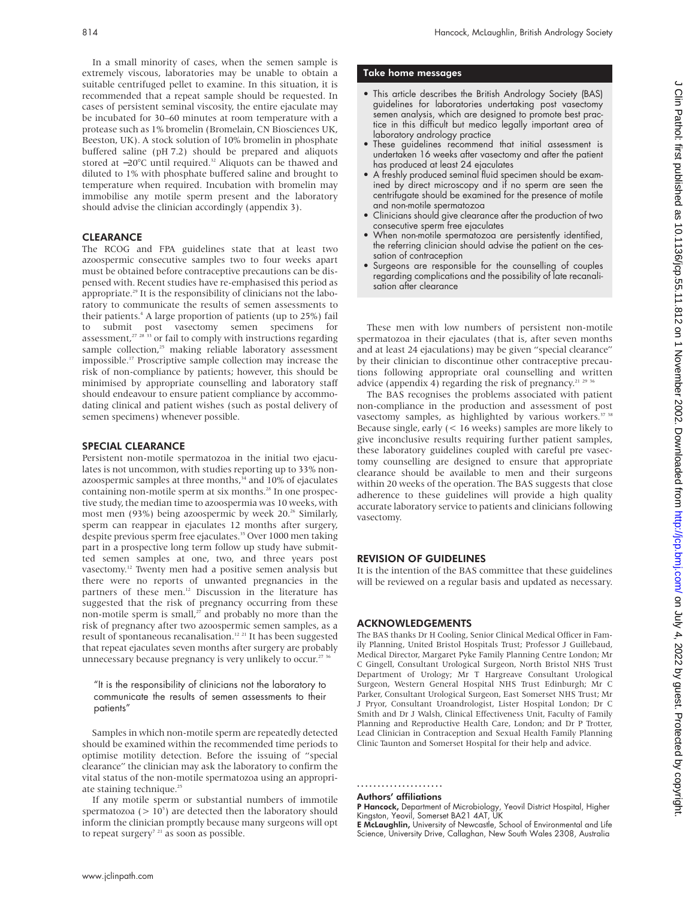In a small minority of cases, when the semen sample is extremely viscous, laboratories may be unable to obtain a suitable centrifuged pellet to examine. In this situation, it is recommended that a repeat sample should be requested. In cases of persistent seminal viscosity, the entire ejaculate may be incubated for 30–60 minutes at room temperature with a protease such as 1% bromelin (Bromelain, CN Biosciences UK, Beeston, UK). A stock solution of 10% bromelin in phosphate buffered saline (pH 7.2) should be prepared and aliquots stored at −20°C until required.32 Aliquots can be thawed and diluted to 1% with phosphate buffered saline and brought to temperature when required. Incubation with bromelin may immobilise any motile sperm present and the laboratory should advise the clinician accordingly (appendix 3).

# CLEARANCE

The RCOG and FPA guidelines state that at least two azoospermic consecutive samples two to four weeks apart must be obtained before contraceptive precautions can be dispensed with. Recent studies have re-emphasised this period as appropriate.<sup>29</sup> It is the responsibility of clinicians not the laboratory to communicate the results of semen assessments to their patients.<sup>4</sup> A large proportion of patients (up to 25%) fail to submit post vasectomy semen specimens for assessment,<sup>27</sup> <sup>28</sup> <sup>33</sup> or fail to comply with instructions regarding sample collection,<sup>25</sup> making reliable laboratory assessment impossible.17 Proscriptive sample collection may increase the risk of non-compliance by patients; however, this should be minimised by appropriate counselling and laboratory staff should endeavour to ensure patient compliance by accommodating clinical and patient wishes (such as postal delivery of semen specimens) whenever possible.

# SPECIAL CLEARANCE

Persistent non-motile spermatozoa in the initial two ejaculates is not uncommon, with studies reporting up to 33% nonazoospermic samples at three months, $34$  and 10% of ejaculates containing non-motile sperm at six months.<sup>28</sup> In one prospective study, the median time to azoospermia was 10 weeks, with most men (93%) being azoospermic by week 20.<sup>26</sup> Similarly, sperm can reappear in ejaculates 12 months after surgery, despite previous sperm free ejaculates.<sup>35</sup> Over 1000 men taking part in a prospective long term follow up study have submitted semen samples at one, two, and three years post vasectomy.12 Twenty men had a positive semen analysis but there were no reports of unwanted pregnancies in the partners of these men.<sup>12</sup> Discussion in the literature has suggested that the risk of pregnancy occurring from these non-motile sperm is small, $27$  and probably no more than the risk of pregnancy after two azoospermic semen samples, as a result of spontaneous recanalisation.<sup>12 21</sup> It has been suggested that repeat ejaculates seven months after surgery are probably unnecessary because pregnancy is very unlikely to occur.<sup>27</sup>

"It is the responsibility of clinicians not the laboratory to communicate the results of semen assessments to their patients"

Samples in which non-motile sperm are repeatedly detected should be examined within the recommended time periods to optimise motility detection. Before the issuing of "special clearance" the clinician may ask the laboratory to confirm the vital status of the non-motile spermatozoa using an appropriate staining technique.<sup>25</sup>

If any motile sperm or substantial numbers of immotile spermatozoa ( $> 10<sup>5</sup>$ ) are detected then the laboratory should inform the clinician promptly because many surgeons will opt to repeat surgery<sup>7 21</sup> as soon as possible.

#### Take home messages

- This article describes the British Andrology Society (BAS) guidelines for laboratories undertaking post vasectomy semen analysis, which are designed to promote best practice in this difficult but medico legally important area of laboratory andrology practice
- These guidelines recommend that initial assessment is undertaken 16 weeks after vasectomy and after the patient has produced at least 24 ejaculates
- A freshly produced seminal fluid specimen should be examined by direct microscopy and if no sperm are seen the centrifugate should be examined for the presence of motile and non-motile spermatozoa
- Clinicians should give clearance after the production of two consecutive sperm free ejaculates
- When non-motile spermatozoa are persistently identified, the referring clinician should advise the patient on the cessation of contraception
- Surgeons are responsible for the counselling of couples regarding complications and the possibility of late recanalisation after clearance

These men with low numbers of persistent non-motile spermatozoa in their ejaculates (that is, after seven months and at least 24 ejaculations) may be given "special clearance" by their clinician to discontinue other contraceptive precautions following appropriate oral counselling and written advice (appendix 4) regarding the risk of pregnancy.<sup>21-2</sup>

The BAS recognises the problems associated with patient non-compliance in the production and assessment of post vasectomy samples, as highlighted by various workers.<sup>37 38</sup> Because single, early (< 16 weeks) samples are more likely to give inconclusive results requiring further patient samples, these laboratory guidelines coupled with careful pre vasectomy counselling are designed to ensure that appropriate clearance should be available to men and their surgeons within 20 weeks of the operation. The BAS suggests that close adherence to these guidelines will provide a high quality accurate laboratory service to patients and clinicians following vasectomy.

# REVISION OF GUIDELINES

It is the intention of the BAS committee that these guidelines will be reviewed on a regular basis and updated as necessary.

# ACKNOWLEDGEMENTS

The BAS thanks Dr H Cooling, Senior Clinical Medical Officer in Family Planning, United Bristol Hospitals Trust; Professor J Guillebaud, Medical Director, Margaret Pyke Family Planning Centre London; Mr C Gingell, Consultant Urological Surgeon, North Bristol NHS Trust Department of Urology; Mr T Hargreave Consultant Urological Surgeon, Western General Hospital NHS Trust Edinburgh; Mr C Parker, Consultant Urological Surgeon, East Somerset NHS Trust; Mr J Pryor, Consultant Uroandrologist, Lister Hospital London; Dr C Smith and Dr J Walsh, Clinical Effectiveness Unit, Faculty of Family Planning and Reproductive Health Care, London; and Dr P Trotter, Lead Clinician in Contraception and Sexual Health Family Planning Clinic Taunton and Somerset Hospital for their help and advice.

..................... Authors' affiliations

P Hancock, Department of Microbiology, Yeovil District Hospital, Higher Kingston, Yeovil, Somerset BA21 4AT, UK

E McLaughlin, University of Newcastle, School of Environmental and Life Science, University Drive, Callaghan, New South Wales 2308, Australia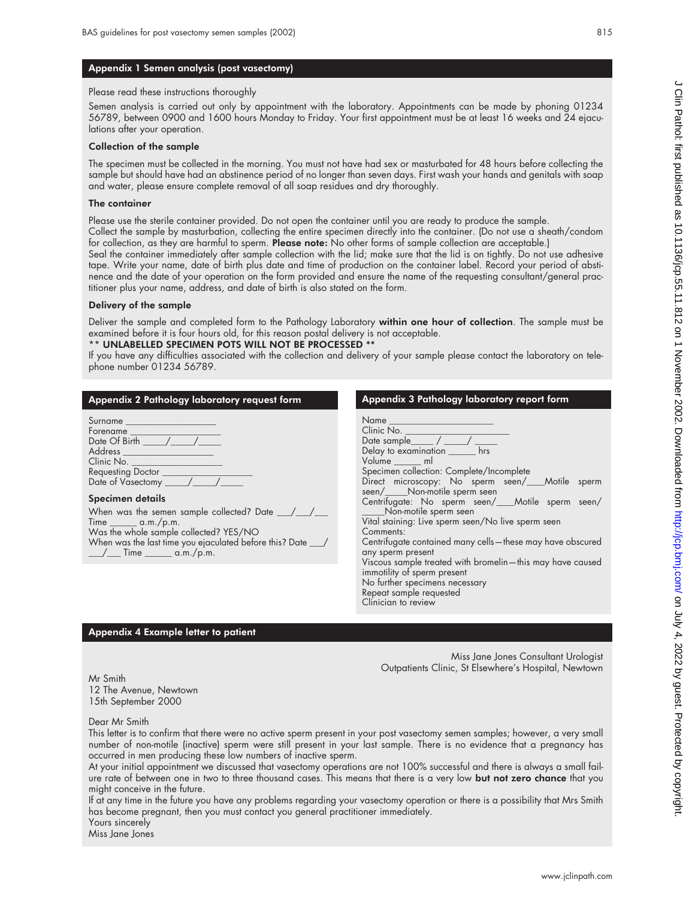# Appendix 1 Semen analysis (post vasectomy)

#### Please read these instructions thoroughly

Semen analysis is carried out only by appointment with the laboratory. Appointments can be made by phoning 01234 56789, between 0900 and 1600 hours Monday to Friday. Your first appointment must be at least 16 weeks and 24 ejaculations after your operation.

#### Collection of the sample

The specimen must be collected in the morning. You must not have had sex or masturbated for 48 hours before collecting the sample but should have had an abstinence period of no longer than seven days. First wash your hands and genitals with soap and water, please ensure complete removal of all soap residues and dry thoroughly.

#### The container

Please use the sterile container provided. Do not open the container until you are ready to produce the sample.

Collect the sample by masturbation, collecting the entire specimen directly into the container. (Do not use a sheath/condom for collection, as they are harmful to sperm. Please note: No other forms of sample collection are acceptable.)

Seal the container immediately after sample collection with the lid; make sure that the lid is on tightly. Do not use adhesive tape. Write your name, date of birth plus date and time of production on the container label. Record your period of abstinence and the date of your operation on the form provided and ensure the name of the requesting consultant/general practitioner plus your name, address, and date of birth is also stated on the form.

# Delivery of the sample

Deliver the sample and completed form to the Pathology Laboratory within one hour of collection. The sample must be examined before it is four hours old, for this reason postal delivery is not acceptable.

# UNLABELLED SPECIMEN POTS WILL NOT BE PROCESSED \*\*

If you have any difficulties associated with the collection and delivery of your sample please contact the laboratory on telephone number 01234 56789.

# Appendix 2 Pathology laboratory request form

| Surname _____                          |  |
|----------------------------------------|--|
| Forename                               |  |
| Date Of Birth                          |  |
| Address <sub>____</sub>                |  |
| Clinic No. __                          |  |
|                                        |  |
| Requesting Doctor<br>Date of Vasectomy |  |

#### Specimen details

When was the semen sample collected? Date \_\_\_/\_  $Time$   $\_\_\_\_\_\_\$  a.m./p.m. Was the whole sample collected? YES/NO When was the last time you ejaculated before this? Date \_ \_\_\_\_/ \_\_\_\_ Time \_\_\_\_\_\_\_ a.m./p.m.  $\sqrt{\_\_\_\_\_\_\_\_\_\_\_\_\_\_\_\_\_\_\_\_\_\_\_\_\_\_\_\_\_}$ 

| Appendix 3 Pathology laboratory report form                                                                                                                                                       |
|---------------------------------------------------------------------------------------------------------------------------------------------------------------------------------------------------|
| Name<br>Clinic No.<br>Date sample $\_\_\_\_\_\_\_\_$<br>Delay to examination hrs<br>Volume ml<br>Specimen collection: Complete/Incomplete                                                         |
| Direct microscopy: No sperm seen/___Motile sperm<br>seen/_____Non-motile sperm seen                                                                                                               |
| Centrifugate: No sperm seen/___Motile sperm seen/<br>____Non-motile sperm seen<br>Vital staining: Live sperm seen/No live sperm seen<br>Comments:                                                 |
| Centrifugate contained many cells—these may have obscured                                                                                                                                         |
| any sperm present<br>Viscous sample treated with bromelin-this may have caused<br>immotility of sperm present<br>No further specimens necessary<br>Repeat sample requested<br>Clinician to review |

# Appendix 4 Example letter to patient

Miss Jane Jones Consultant Urologist Outpatients Clinic, St Elsewhere's Hospital, Newtown

Mr Smith 12 The Avenue, Newtown 15th September 2000

Dear Mr Smith

This letter is to confirm that there were no active sperm present in your post vasectomy semen samples; however, a very small number of non-motile (inactive) sperm were still present in your last sample. There is no evidence that a pregnancy has occurred in men producing these low numbers of inactive sperm.

At your initial appointment we discussed that vasectomy operations are not 100% successful and there is always a small failure rate of between one in two to three thousand cases. This means that there is a very low but not zero chance that you might conceive in the future.

If at any time in the future you have any problems regarding your vasectomy operation or there is a possibility that Mrs Smith has become pregnant, then you must contact you general practitioner immediately. Yours sincerely

Miss Jane Jones